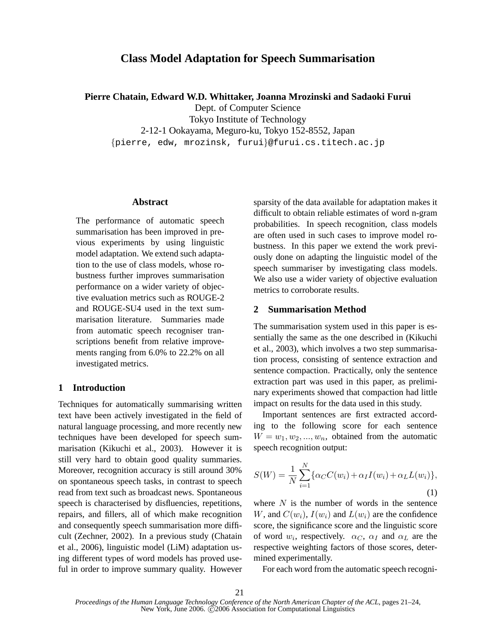# **Class Model Adaptation for Speech Summarisation**

**Pierre Chatain, Edward W.D. Whittaker, Joanna Mrozinski and Sadaoki Furui**

Dept. of Computer Science

Tokyo Institute of Technology 2-12-1 Ookayama, Meguro-ku, Tokyo 152-8552, Japan

{pierre, edw, mrozinsk, furui}@furui.cs.titech.ac.jp

#### **Abstract**

The performance of automatic speech summarisation has been improved in previous experiments by using linguistic model adaptation. We extend such adaptation to the use of class models, whose robustness further improves summarisation performance on a wider variety of objective evaluation metrics such as ROUGE-2 and ROUGE-SU4 used in the text summarisation literature. Summaries made from automatic speech recogniser transcriptions benefit from relative improvements ranging from 6.0% to 22.2% on all investigated metrics.

# **1 Introduction**

Techniques for automatically summarising written text have been actively investigated in the field of natural language processing, and more recently new techniques have been developed for speech summarisation (Kikuchi et al., 2003). However it is still very hard to obtain good quality summaries. Moreover, recognition accuracy is still around 30% on spontaneous speech tasks, in contrast to speech read from text such as broadcast news. Spontaneous speech is characterised by disfluencies, repetitions, repairs, and fillers, all of which make recognition and consequently speech summarisation more difficult (Zechner, 2002). In a previous study (Chatain et al., 2006), linguistic model (LiM) adaptation using different types of word models has proved useful in order to improve summary quality. However sparsity of the data available for adaptation makes it difficult to obtain reliable estimates of word n-gram probabilities. In speech recognition, class models are often used in such cases to improve model robustness. In this paper we extend the work previously done on adapting the linguistic model of the speech summariser by investigating class models. We also use a wider variety of objective evaluation metrics to corroborate results.

## **2 Summarisation Method**

The summarisation system used in this paper is essentially the same as the one described in (Kikuchi et al., 2003), which involves a two step summarisation process, consisting of sentence extraction and sentence compaction. Practically, only the sentence extraction part was used in this paper, as preliminary experiments showed that compaction had little impact on results for the data used in this study.

Important sentences are first extracted according to the following score for each sentence  $W = w_1, w_2, ..., w_n$ , obtained from the automatic speech recognition output:

$$
S(W) = \frac{1}{N} \sum_{i=1}^{N} \{ \alpha_C C(w_i) + \alpha_I I(w_i) + \alpha_L L(w_i) \},\tag{1}
$$

where  $N$  is the number of words in the sentence W, and  $C(w_i)$ ,  $I(w_i)$  and  $L(w_i)$  are the confidence score, the significance score and the linguistic score of word  $w_i$ , respectively.  $\alpha_C$ ,  $\alpha_I$  and  $\alpha_L$  are the respective weighting factors of those scores, determined experimentally.

For each word from the automatic speech recogni-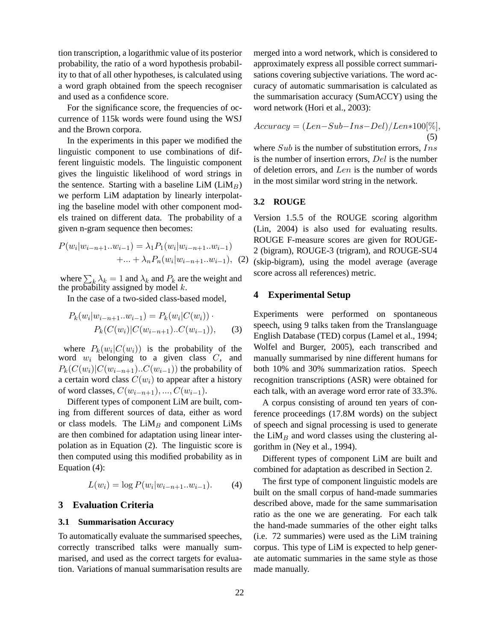tion transcription, a logarithmic value of its posterior probability, the ratio of a word hypothesis probability to that of all other hypotheses, is calculated using a word graph obtained from the speech recogniser and used as a confidence score.

For the significance score, the frequencies of occurrence of 115k words were found using the WSJ and the Brown corpora.

In the experiments in this paper we modified the linguistic component to use combinations of different linguistic models. The linguistic component gives the linguistic likelihood of word strings in the sentence. Starting with a baseline LiM  $(LiM_B)$ we perform LiM adaptation by linearly interpolating the baseline model with other component models trained on different data. The probability of a given n-gram sequence then becomes:

$$
P(w_i|w_{i-n+1}...w_{i-1}) = \lambda_1 P_1(w_i|w_{i-n+1}...w_{i-1})
$$
  
+...+  $\lambda_n P_n(w_i|w_{i-n+1}...w_{i-1})$ , (2)

where  $\sum_k \lambda_k = 1$  and  $\lambda_k$  and  $P_k$  are the weight and the probability assigned by model  $k$ .

In the case of a two-sided class-based model,

$$
P_k(w_i|w_{i-n+1}...w_{i-1}) = P_k(w_i|C(w_i))
$$
  
\n
$$
P_k(C(w_i)|C(w_{i-n+1})...C(w_{i-1})),
$$
 (3)

where  $P_k(w_i|C(w_i))$  is the probability of the word  $w_i$  belonging to a given class  $C$ , and  $P_k(C(w_i)|C(w_{i-n+1})...C(w_{i-1}))$  the probability of a certain word class  $C(w_i)$  to appear after a history of word classes,  $C(w_{i-n+1}), \ldots, C(w_{i-1}).$ 

Different types of component LiM are built, coming from different sources of data, either as word or class models. The  $LiM<sub>B</sub>$  and component  $LiMs$ are then combined for adaptation using linear interpolation as in Equation (2). The linguistic score is then computed using this modified probability as in Equation (4):

$$
L(w_i) = \log P(w_i|w_{i-n+1}...w_{i-1}).
$$
 (4)

#### **3 Evaluation Criteria**

#### **3.1 Summarisation Accuracy**

To automatically evaluate the summarised speeches, correctly transcribed talks were manually summarised, and used as the correct targets for evaluation. Variations of manual summarisation results are merged into a word network, which is considered to approximately express all possible correct summarisations covering subjective variations. The word accuracy of automatic summarisation is calculated as the summarisation accuracy (SumACCY) using the word network (Hori et al., 2003):

$$
Accuracy = (Len - Sub - Ins - Del) / Len*100[\%],
$$
\n(5)

where  $Sub$  is the number of substitution errors,  $Ins$ is the number of insertion errors, Del is the number of deletion errors, and Len is the number of words in the most similar word string in the network.

#### **3.2 ROUGE**

Version 1.5.5 of the ROUGE scoring algorithm (Lin, 2004) is also used for evaluating results. ROUGE F-measure scores are given for ROUGE-2 (bigram), ROUGE-3 (trigram), and ROUGE-SU4 (skip-bigram), using the model average (average score across all references) metric.

#### **4 Experimental Setup**

Experiments were performed on spontaneous speech, using 9 talks taken from the Translanguage English Database (TED) corpus (Lamel et al., 1994; Wolfel and Burger, 2005), each transcribed and manually summarised by nine different humans for both 10% and 30% summarization ratios. Speech recognition transcriptions (ASR) were obtained for each talk, with an average word error rate of 33.3%.

A corpus consisting of around ten years of conference proceedings (17.8M words) on the subject of speech and signal processing is used to generate the  $LiM<sub>B</sub>$  and word classes using the clustering algorithm in (Ney et al., 1994).

Different types of component LiM are built and combined for adaptation as described in Section 2.

The first type of component linguistic models are built on the small corpus of hand-made summaries described above, made for the same summarisation ratio as the one we are generating. For each talk the hand-made summaries of the other eight talks (i.e. 72 summaries) were used as the LiM training corpus. This type of LiM is expected to help generate automatic summaries in the same style as those made manually.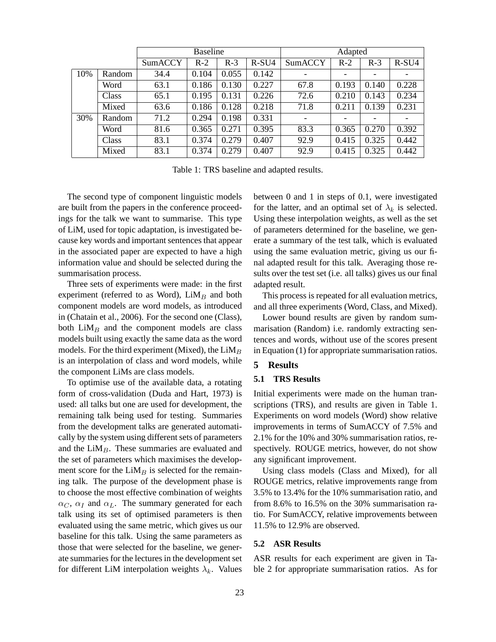|     |        | <b>Baseline</b> |       |       |         | Adapted |                          |                          |         |
|-----|--------|-----------------|-------|-------|---------|---------|--------------------------|--------------------------|---------|
|     |        | SumACCY         | $R-2$ | $R-3$ | $R-SU4$ | SumACCY | $R-2$                    | $R-3$                    | $R-SU4$ |
| 10% | Random | 34.4            | 0.104 | 0.055 | 0.142   |         | $\overline{\phantom{a}}$ | $\overline{\phantom{a}}$ | -       |
|     | Word   | 63.1            | 0.186 | 0.130 | 0.227   | 67.8    | 0.193                    | 0.140                    | 0.228   |
|     | Class  | 65.1            | 0.195 | 0.131 | 0.226   | 72.6    | 0.210                    | 0.143                    | 0.234   |
|     | Mixed  | 63.6            | 0.186 | 0.128 | 0.218   | 71.8    | 0.211                    | 0.139                    | 0.231   |
| 30% | Random | 71.2            | 0.294 | 0.198 | 0.331   | -       | -                        | $\overline{\phantom{a}}$ |         |
|     | Word   | 81.6            | 0.365 | 0.271 | 0.395   | 83.3    | 0.365                    | 0.270                    | 0.392   |
|     | Class  | 83.1            | 0.374 | 0.279 | 0.407   | 92.9    | 0.415                    | 0.325                    | 0.442   |
|     | Mixed  | 83.1            | 0.374 | 0.279 | 0.407   | 92.9    | 0.415                    | 0.325                    | 0.442   |

Table 1: TRS baseline and adapted results.

The second type of component linguistic models are built from the papers in the conference proceedings for the talk we want to summarise. This type of LiM, used for topic adaptation, is investigated because key words and important sentences that appear in the associated paper are expected to have a high information value and should be selected during the summarisation process.

Three sets of experiments were made: in the first experiment (referred to as Word),  $LiM<sub>B</sub>$  and both component models are word models, as introduced in (Chatain et al., 2006). For the second one (Class), both  $LiM<sub>B</sub>$  and the component models are class models built using exactly the same data as the word models. For the third experiment (Mixed), the  $LiM<sub>B</sub>$ is an interpolation of class and word models, while the component LiMs are class models.

To optimise use of the available data, a rotating form of cross-validation (Duda and Hart, 1973) is used: all talks but one are used for development, the remaining talk being used for testing. Summaries from the development talks are generated automatically by the system using different sets of parameters and the  $LiM<sub>B</sub>$ . These summaries are evaluated and the set of parameters which maximises the development score for the  $LiM<sub>B</sub>$  is selected for the remaining talk. The purpose of the development phase is to choose the most effective combination of weights  $\alpha_C$ ,  $\alpha_I$  and  $\alpha_L$ . The summary generated for each talk using its set of optimised parameters is then evaluated using the same metric, which gives us our baseline for this talk. Using the same parameters as those that were selected for the baseline, we generate summaries for the lectures in the development set for different LiM interpolation weights  $\lambda_k$ . Values between 0 and 1 in steps of 0.1, were investigated for the latter, and an optimal set of  $\lambda_k$  is selected. Using these interpolation weights, as well as the set of parameters determined for the baseline, we generate a summary of the test talk, which is evaluated using the same evaluation metric, giving us our final adapted result for this talk. Averaging those results over the test set (i.e. all talks) gives us our final adapted result.

This process is repeated for all evaluation metrics, and all three experiments (Word, Class, and Mixed).

Lower bound results are given by random summarisation (Random) i.e. randomly extracting sentences and words, without use of the scores present in Equation (1) for appropriate summarisation ratios.

# **5 Results**

## **5.1 TRS Results**

Initial experiments were made on the human transcriptions (TRS), and results are given in Table 1. Experiments on word models (Word) show relative improvements in terms of SumACCY of 7.5% and 2.1% for the 10% and 30% summarisation ratios, respectively. ROUGE metrics, however, do not show any significant improvement.

Using class models (Class and Mixed), for all ROUGE metrics, relative improvements range from 3.5% to 13.4% for the 10% summarisation ratio, and from 8.6% to 16.5% on the 30% summarisation ratio. For SumACCY, relative improvements between 11.5% to 12.9% are observed.

#### **5.2 ASR Results**

ASR results for each experiment are given in Table 2 for appropriate summarisation ratios. As for